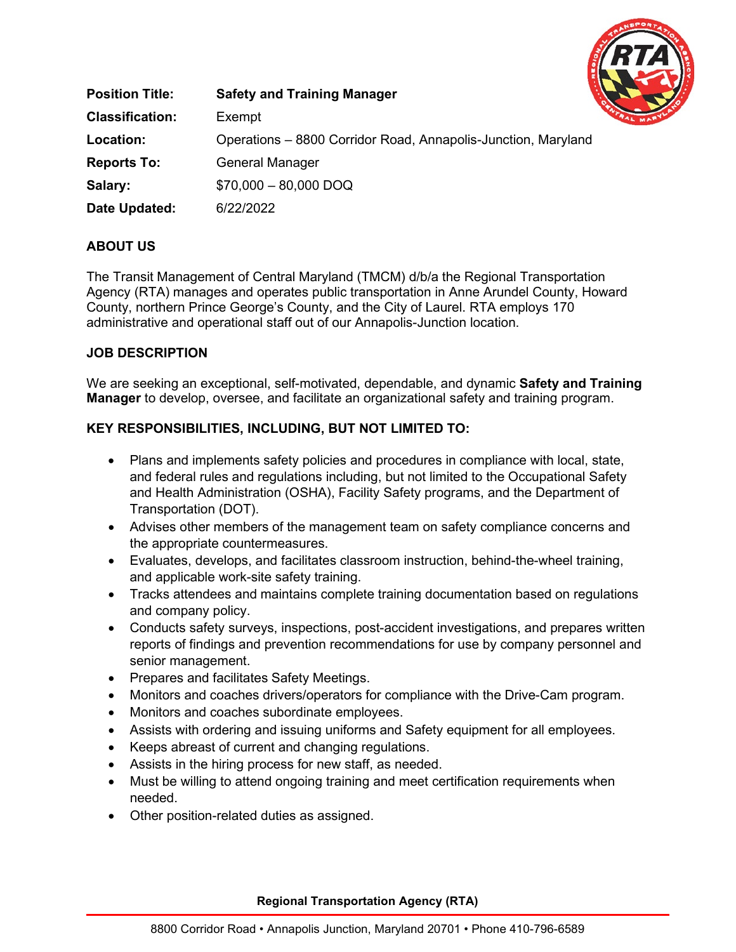

| <b>Position Title:</b> | <b>Safety and Training Manager</b>                            |
|------------------------|---------------------------------------------------------------|
| <b>Classification:</b> | Exempt                                                        |
| Location:              | Operations – 8800 Corridor Road, Annapolis-Junction, Maryland |
| <b>Reports To:</b>     | <b>General Manager</b>                                        |
| Salary:                | $$70,000 - 80,000$ DOQ                                        |
| Date Updated:          | 6/22/2022                                                     |

# **ABOUT US**

The Transit Management of Central Maryland (TMCM) d/b/a the Regional Transportation Agency (RTA) manages and operates public transportation in Anne Arundel County, Howard County, northern Prince George's County, and the City of Laurel. RTA employs 170 administrative and operational staff out of our Annapolis-Junction location.

#### **JOB DESCRIPTION**

We are seeking an exceptional, self-motivated, dependable, and dynamic **Safety and Training Manager** to develop, oversee, and facilitate an organizational safety and training program.

### **KEY RESPONSIBILITIES, INCLUDING, BUT NOT LIMITED TO:**

- Plans and implements safety policies and procedures in compliance with local, state, and federal rules and regulations including, but not limited to the Occupational Safety and Health Administration (OSHA), Facility Safety programs, and the Department of Transportation (DOT).
- Advises other members of the management team on safety compliance concerns and the appropriate countermeasures.
- Evaluates, develops, and facilitates classroom instruction, behind-the-wheel training, and applicable work-site safety training.
- Tracks attendees and maintains complete training documentation based on regulations and company policy.
- Conducts safety surveys, inspections, post-accident investigations, and prepares written reports of findings and prevention recommendations for use by company personnel and senior management.
- Prepares and facilitates Safety Meetings.
- Monitors and coaches drivers/operators for compliance with the Drive-Cam program.
- Monitors and coaches subordinate employees.
- Assists with ordering and issuing uniforms and Safety equipment for all employees.
- Keeps abreast of current and changing regulations.
- Assists in the hiring process for new staff, as needed.
- Must be willing to attend ongoing training and meet certification requirements when needed.
- Other position-related duties as assigned.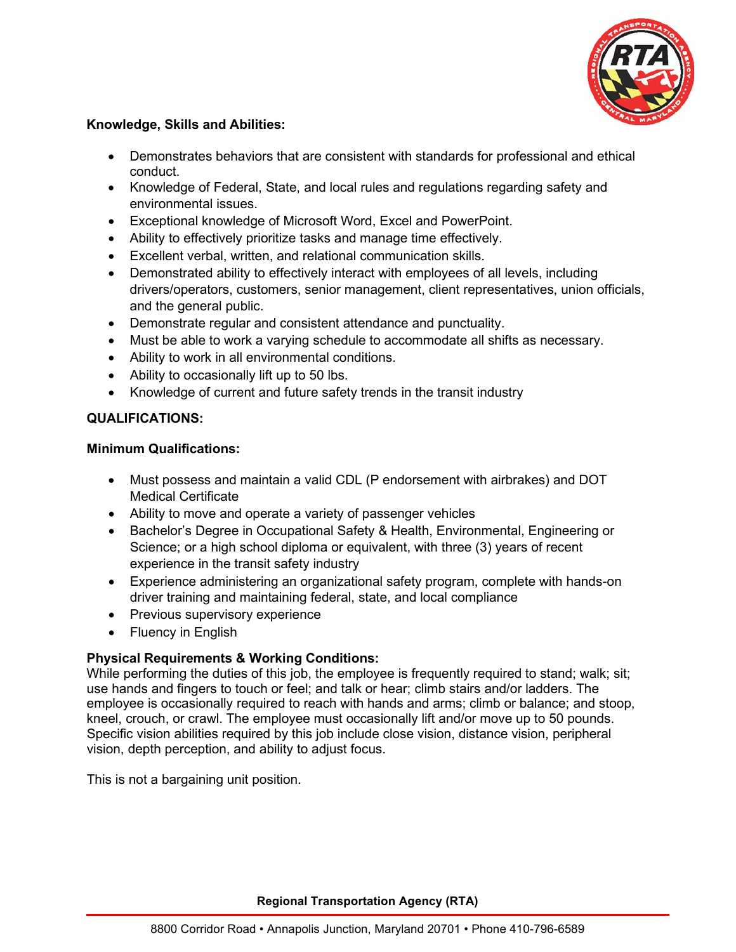

### **Knowledge, Skills and Abilities:**

- Demonstrates behaviors that are consistent with standards for professional and ethical conduct.
- Knowledge of Federal, State, and local rules and regulations regarding safety and environmental issues.
- Exceptional knowledge of Microsoft Word, Excel and PowerPoint.
- Ability to effectively prioritize tasks and manage time effectively.
- Excellent verbal, written, and relational communication skills.
- Demonstrated ability to effectively interact with employees of all levels, including drivers/operators, customers, senior management, client representatives, union officials, and the general public.
- Demonstrate regular and consistent attendance and punctuality.
- Must be able to work a varying schedule to accommodate all shifts as necessary.
- Ability to work in all environmental conditions.
- Ability to occasionally lift up to 50 lbs.
- Knowledge of current and future safety trends in the transit industry

## **QUALIFICATIONS:**

### **Minimum Qualifications:**

- Must possess and maintain a valid CDL (P endorsement with airbrakes) and DOT Medical Certificate
- Ability to move and operate a variety of passenger vehicles
- Bachelor's Degree in Occupational Safety & Health, Environmental, Engineering or Science; or a high school diploma or equivalent, with three (3) years of recent experience in the transit safety industry
- Experience administering an organizational safety program, complete with hands-on driver training and maintaining federal, state, and local compliance
- Previous supervisory experience
- Fluency in English

# **Physical Requirements & Working Conditions:**

While performing the duties of this job, the employee is frequently required to stand; walk; sit; use hands and fingers to touch or feel; and talk or hear; climb stairs and/or ladders. The employee is occasionally required to reach with hands and arms; climb or balance; and stoop, kneel, crouch, or crawl. The employee must occasionally lift and/or move up to 50 pounds. Specific vision abilities required by this job include close vision, distance vision, peripheral vision, depth perception, and ability to adjust focus.

This is not a bargaining unit position.